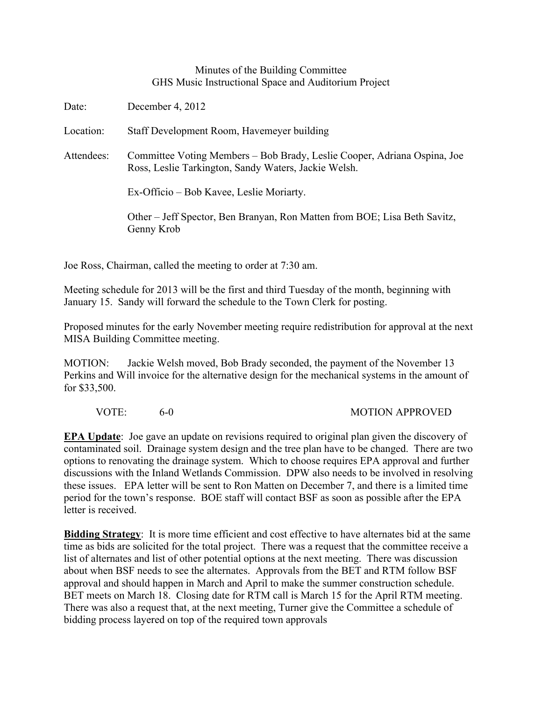## Minutes of the Building Committee GHS Music Instructional Space and Auditorium Project

| Date:      | December 4, 2012                                                                                                                 |
|------------|----------------------------------------------------------------------------------------------------------------------------------|
| Location:  | Staff Development Room, Havemeyer building                                                                                       |
| Attendees: | Committee Voting Members – Bob Brady, Leslie Cooper, Adriana Ospina, Joe<br>Ross, Leslie Tarkington, Sandy Waters, Jackie Welsh. |
|            | Ex-Officio – Bob Kavee, Leslie Moriarty.                                                                                         |
|            | Other – Jeff Spector, Ben Branyan, Ron Matten from BOE; Lisa Beth Savitz,<br>Genny Krob                                          |
|            |                                                                                                                                  |

Joe Ross, Chairman, called the meeting to order at 7:30 am.

Meeting schedule for 2013 will be the first and third Tuesday of the month, beginning with January 15. Sandy will forward the schedule to the Town Clerk for posting.

Proposed minutes for the early November meeting require redistribution for approval at the next MISA Building Committee meeting.

MOTION: Jackie Welsh moved, Bob Brady seconded, the payment of the November 13 Perkins and Will invoice for the alternative design for the mechanical systems in the amount of for \$33,500.

VOTE: 6-0 60 MOTION APPROVED

**EPA Update**: Joe gave an update on revisions required to original plan given the discovery of contaminated soil. Drainage system design and the tree plan have to be changed. There are two options to renovating the drainage system. Which to choose requires EPA approval and further discussions with the Inland Wetlands Commission. DPW also needs to be involved in resolving these issues. EPA letter will be sent to Ron Matten on December 7, and there is a limited time period for the town's response. BOE staff will contact BSF as soon as possible after the EPA letter is received.

**Bidding Strategy**: It is more time efficient and cost effective to have alternates bid at the same time as bids are solicited for the total project. There was a request that the committee receive a list of alternates and list of other potential options at the next meeting. There was discussion about when BSF needs to see the alternates. Approvals from the BET and RTM follow BSF approval and should happen in March and April to make the summer construction schedule. BET meets on March 18. Closing date for RTM call is March 15 for the April RTM meeting. There was also a request that, at the next meeting, Turner give the Committee a schedule of bidding process layered on top of the required town approvals